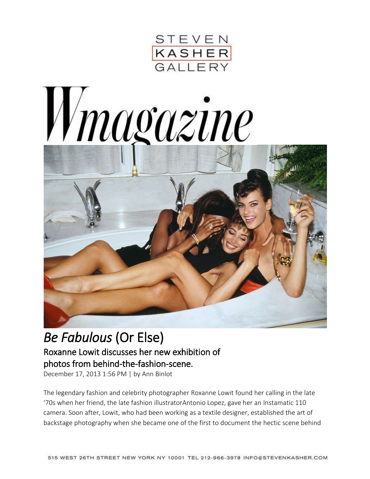





## *Be Fabulous* (Or Else) Roxanne Lowit discusses her new exhibition of photos from behind-the-fashion-scene.

December 17, 2013 1:56 PM | by Ann [Binlot](http://www.wmagazine.com/author/ann-binlot)

The legendary fashion and celebrity photographer [Roxanne](http://www.roxannelowit.com/) Lowit found her calling in the late '70s when her friend, the late fashion illustrator[Antonio](http://www.wmagazine.com/fashion/2012/09/antonio-lopez-fashion-illustrator/) Lopez, gave her an Instamatic 110 camera. Soon after, Lowit, who had been working as a textile designer, established the art of backstage photography when she became one of the first to document the hectic scene behind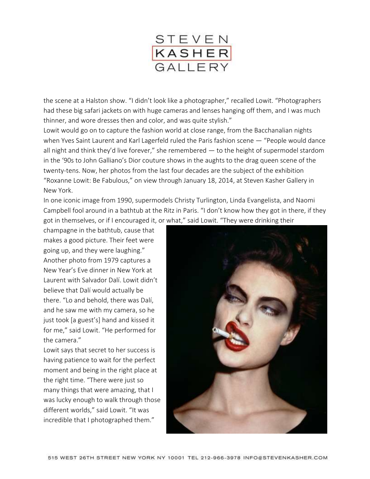

the scene at a [Halston](http://www.wmagazine.com/fashion/2011/12/halston-documenary/) show. "I didn't look like a photographer," recalled Lowit. "Photographers had these big safari jackets on with huge cameras and lenses hanging off them, and I was much thinner, and wore dresses then and color, and was quite stylish."

Lowit would go on to capture the fashion world at close range, from the Bacchanalian nights when Yves Saint [Laurent](http://www.wmagazine.com/fashion/2008/08/yves_st_laurent/) and Karl [Lagerfeld](http://www.wmagazine.com/fashion/2012/08/karl-lagerfeld-chanel-muses-kitten-choupette/) ruled the Paris fashion scene — "People would dance all night and think they'd live forever," she remembered  $-$  to the height of supermodel stardom in the '90s to John [Galliano's](http://www.wmagazine.com/fashion/2009/09/john_galliano/) Dior couture shows in the aughts to the drag queen scene of the twenty-tens. Now, her photos from the last four decades are the subject of the exhibition "Roxanne Lowit: Be [Fabulous](http://www.stevenkasher.com/exhibition/96/press_release/)," on view through January 18, 2014, at Steven Kasher Gallery in New York.

In one iconic image from 1990, supermodels Christy [Turlington,](http://www.wmagazine.com/mood-board/filter?q=%5EModels%7CChristy%20Turlington%7C) Linda [Evangelista,](http://www.wmagazine.com/mood-board/filter?q=%5EModels%7CLinda%20Evangelista%7C) and [Naomi](http://www.wmagazine.com/mood-board/filter?q=%5EModels%7CNaomi%20Campbell%7C) [Campbell](http://www.wmagazine.com/mood-board/filter?q=%5EModels%7CNaomi%20Campbell%7C) fool around in a bathtub at the Ritz in Paris. "I don't know how they got in there, if they got in themselves, or if I encouraged it, or what," said Lowit. "They were drinking their

champagne in the bathtub, cause that makes a good picture. Their feet were going up, and they were laughing." Another photo from 1979 captures a New Year's Eve dinner in New York at Laurent with Salvador Dalí. Lowit didn't believe that Dalí would actually be there. "Lo and behold, there was Dalí, and he saw me with my camera, so he just took [a guest's] hand and kissed it for me," said Lowit. "He performed for the camera."

Lowit says that secret to her success is having patience to wait for the perfect moment and being in the right place at the right time. "There were just so many things that were amazing, that I was lucky enough to walk through those different worlds," said Lowit. "It was incredible that I photographed them."